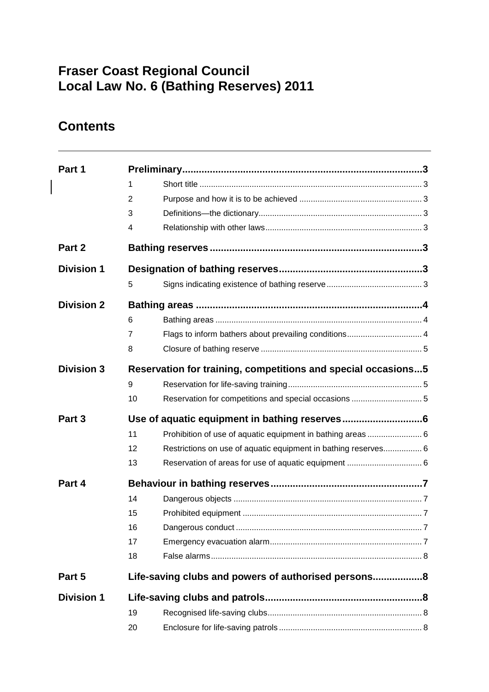# **Fraser Coast Regional Council Local Law No. 6 (Bathing Reserves) 2011**

# **Contents**

| Part 1            |                                                               |                                                                |  |
|-------------------|---------------------------------------------------------------|----------------------------------------------------------------|--|
|                   | 1                                                             |                                                                |  |
|                   | 2                                                             |                                                                |  |
|                   | 3                                                             |                                                                |  |
|                   | 4                                                             |                                                                |  |
| Part 2            |                                                               |                                                                |  |
| <b>Division 1</b> |                                                               |                                                                |  |
|                   | 5                                                             |                                                                |  |
| <b>Division 2</b> |                                                               |                                                                |  |
|                   | 6                                                             |                                                                |  |
|                   | 7                                                             | Flags to inform bathers about prevailing conditions 4          |  |
|                   | 8                                                             |                                                                |  |
| <b>Division 3</b> | Reservation for training, competitions and special occasions5 |                                                                |  |
|                   | 9                                                             |                                                                |  |
|                   | 10                                                            |                                                                |  |
| Part 3            |                                                               |                                                                |  |
|                   | 11                                                            | Prohibition of use of aquatic equipment in bathing areas  6    |  |
|                   | 12                                                            | Restrictions on use of aquatic equipment in bathing reserves 6 |  |
|                   | 13                                                            |                                                                |  |
| Part 4            |                                                               |                                                                |  |
|                   | 14                                                            |                                                                |  |
|                   | 15                                                            |                                                                |  |
|                   | 16                                                            |                                                                |  |
|                   | 17                                                            |                                                                |  |
|                   | 18                                                            |                                                                |  |
| Part 5            | Life-saving clubs and powers of authorised persons8           |                                                                |  |
| <b>Division 1</b> |                                                               |                                                                |  |
|                   | 19                                                            |                                                                |  |
|                   | 20                                                            |                                                                |  |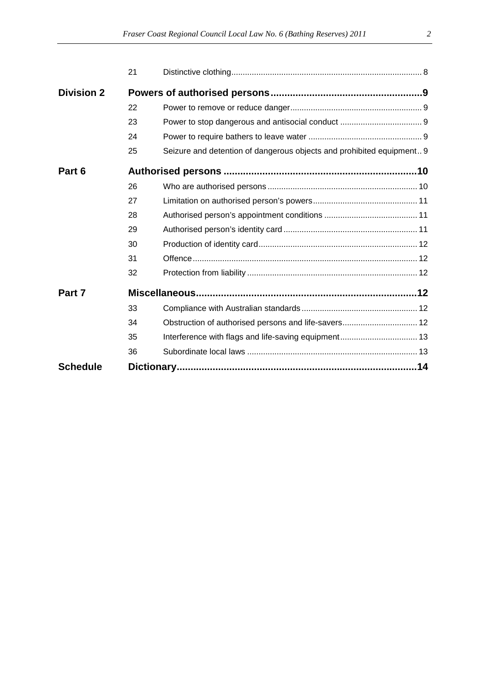|                   | 21 |                                                                       |  |  |  |
|-------------------|----|-----------------------------------------------------------------------|--|--|--|
| <b>Division 2</b> |    |                                                                       |  |  |  |
|                   | 22 |                                                                       |  |  |  |
|                   | 23 |                                                                       |  |  |  |
|                   | 24 |                                                                       |  |  |  |
|                   | 25 | Seizure and detention of dangerous objects and prohibited equipment 9 |  |  |  |
| Part 6            |    |                                                                       |  |  |  |
|                   | 26 |                                                                       |  |  |  |
|                   | 27 |                                                                       |  |  |  |
|                   | 28 |                                                                       |  |  |  |
|                   | 29 |                                                                       |  |  |  |
|                   | 30 |                                                                       |  |  |  |
|                   | 31 |                                                                       |  |  |  |
|                   | 32 |                                                                       |  |  |  |
| Part 7            |    |                                                                       |  |  |  |
|                   | 33 |                                                                       |  |  |  |
|                   | 34 | Obstruction of authorised persons and life-savers 12                  |  |  |  |
|                   | 35 | Interference with flags and life-saving equipment 13                  |  |  |  |
|                   | 36 |                                                                       |  |  |  |
| <b>Schedule</b>   |    |                                                                       |  |  |  |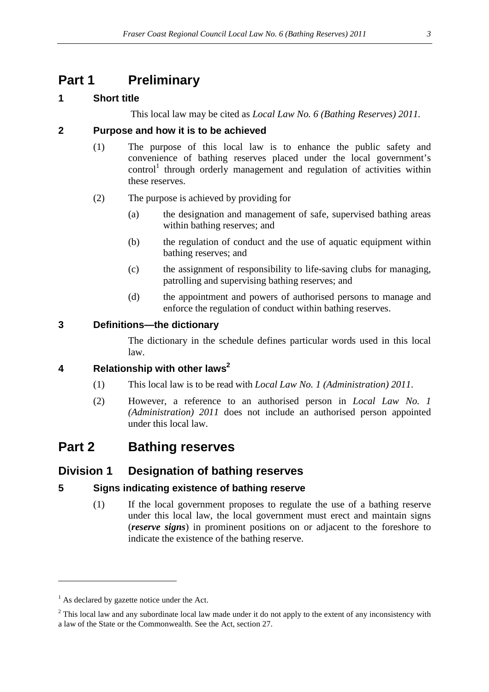# **Part 1 Preliminary**

## **1 Short title**

This local law may be cited as *Local Law No. 6 (Bathing Reserves) 2011.*

## **2 Purpose and how it is to be achieved**

- (1) The purpose of this local law is to enhance the public safety and convenience of bathing reserves placed under the local government's  $control<sup>1</sup>$  through orderly management and regulation of activities within these reserves.
- (2) The purpose is achieved by providing for
	- (a) the designation and management of safe, supervised bathing areas within bathing reserves; and
	- (b) the regulation of conduct and the use of aquatic equipment within bathing reserves; and
	- (c) the assignment of responsibility to life-saving clubs for managing, patrolling and supervising bathing reserves; and
	- (d) the appointment and powers of authorised persons to manage and enforce the regulation of conduct within bathing reserves.

### **3 Definitions—the dictionary**

The dictionary in the schedule defines particular words used in this local law.

## **4 Relationship with other laws<sup>2</sup>**

- (1) This local law is to be read with *Local Law No. 1 (Administration) 2011*.
- (2) However, a reference to an authorised person in *Local Law No. 1 (Administration) 2011* does not include an authorised person appointed under this local law.

## **Part 2 Bathing reserves**

## **Division 1 Designation of bathing reserves**

### **5 Signs indicating existence of bathing reserve**

(1) If the local government proposes to regulate the use of a bathing reserve under this local law, the local government must erect and maintain signs (*reserve signs*) in prominent positions on or adjacent to the foreshore to indicate the existence of the bathing reserve.

 $\overline{a}$ 

 $<sup>1</sup>$  As declared by gazette notice under the Act.</sup>

 $2$  This local law and any subordinate local law made under it do not apply to the extent of any inconsistency with a law of the State or the Commonwealth. See the Act, section 27.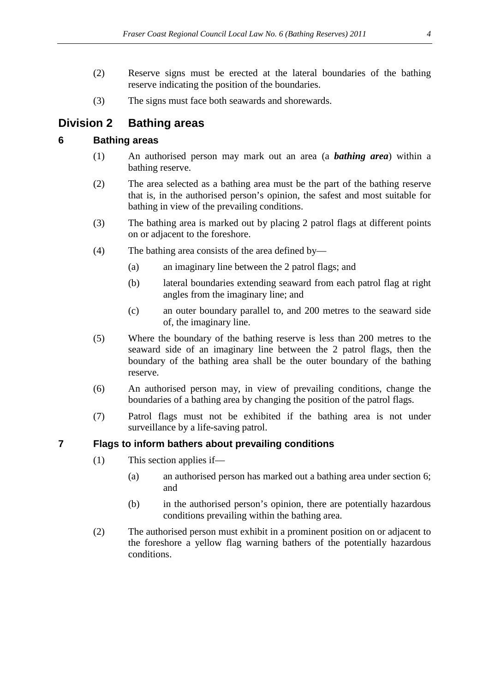- (2) Reserve signs must be erected at the lateral boundaries of the bathing reserve indicating the position of the boundaries.
- (3) The signs must face both seawards and shorewards.

## **Division 2 Bathing areas**

## **6 Bathing areas**

- (1) An authorised person may mark out an area (a *bathing area*) within a bathing reserve.
- (2) The area selected as a bathing area must be the part of the bathing reserve that is, in the authorised person's opinion, the safest and most suitable for bathing in view of the prevailing conditions.
- (3) The bathing area is marked out by placing 2 patrol flags at different points on or adjacent to the foreshore.
- (4) The bathing area consists of the area defined by—
	- (a) an imaginary line between the 2 patrol flags; and
	- (b) lateral boundaries extending seaward from each patrol flag at right angles from the imaginary line; and
	- (c) an outer boundary parallel to, and 200 metres to the seaward side of, the imaginary line.
- (5) Where the boundary of the bathing reserve is less than 200 metres to the seaward side of an imaginary line between the 2 patrol flags, then the boundary of the bathing area shall be the outer boundary of the bathing reserve.
- (6) An authorised person may, in view of prevailing conditions, change the boundaries of a bathing area by changing the position of the patrol flags.
- (7) Patrol flags must not be exhibited if the bathing area is not under surveillance by a life-saving patrol.

### **7 Flags to inform bathers about prevailing conditions**

- (1) This section applies if—
	- (a) an authorised person has marked out a bathing area under section 6; and
	- (b) in the authorised person's opinion, there are potentially hazardous conditions prevailing within the bathing area.
- (2) The authorised person must exhibit in a prominent position on or adjacent to the foreshore a yellow flag warning bathers of the potentially hazardous conditions.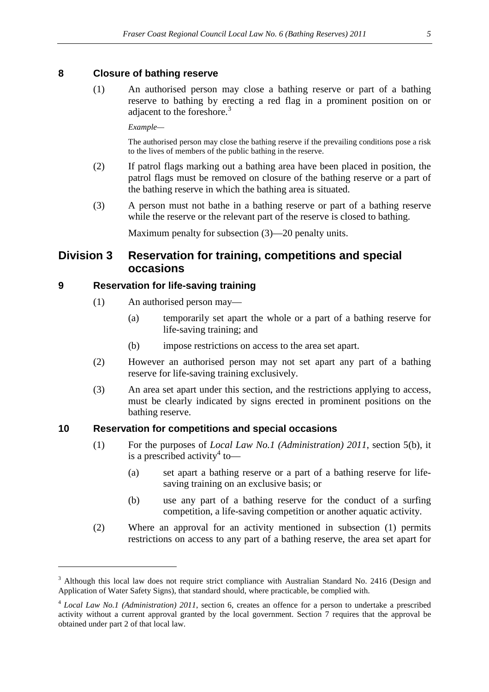#### **8 Closure of bathing reserve**

(1) An authorised person may close a bathing reserve or part of a bathing reserve to bathing by erecting a red flag in a prominent position on or adjacent to the foreshore.<sup>3</sup>

*Example—* 

The authorised person may close the bathing reserve if the prevailing conditions pose a risk to the lives of members of the public bathing in the reserve.

- (2) If patrol flags marking out a bathing area have been placed in position, the patrol flags must be removed on closure of the bathing reserve or a part of the bathing reserve in which the bathing area is situated.
- (3) A person must not bathe in a bathing reserve or part of a bathing reserve while the reserve or the relevant part of the reserve is closed to bathing.

Maximum penalty for subsection (3)—20 penalty units.

## **Division 3 Reservation for training, competitions and special occasions**

#### **9 Reservation for life-saving training**

 $\overline{a}$ 

- (1) An authorised person may—
	- (a) temporarily set apart the whole or a part of a bathing reserve for life-saving training; and
	- (b) impose restrictions on access to the area set apart.
- (2) However an authorised person may not set apart any part of a bathing reserve for life-saving training exclusively.
- (3) An area set apart under this section, and the restrictions applying to access, must be clearly indicated by signs erected in prominent positions on the bathing reserve.

#### **10 Reservation for competitions and special occasions**

- (1) For the purposes of *Local Law No.1 (Administration) 2011*, section 5(b), it is a prescribed activity<sup>4</sup> to-
	- (a) set apart a bathing reserve or a part of a bathing reserve for lifesaving training on an exclusive basis; or
	- (b) use any part of a bathing reserve for the conduct of a surfing competition, a life-saving competition or another aquatic activity.
- (2) Where an approval for an activity mentioned in subsection (1) permits restrictions on access to any part of a bathing reserve, the area set apart for

<sup>&</sup>lt;sup>3</sup> Although this local law does not require strict compliance with Australian Standard No. 2416 (Design and Application of Water Safety Signs), that standard should, where practicable, be complied with.

<sup>4</sup> *Local Law No.1 (Administration) 2011*, section 6, creates an offence for a person to undertake a prescribed activity without a current approval granted by the local government. Section 7 requires that the approval be obtained under part 2 of that local law.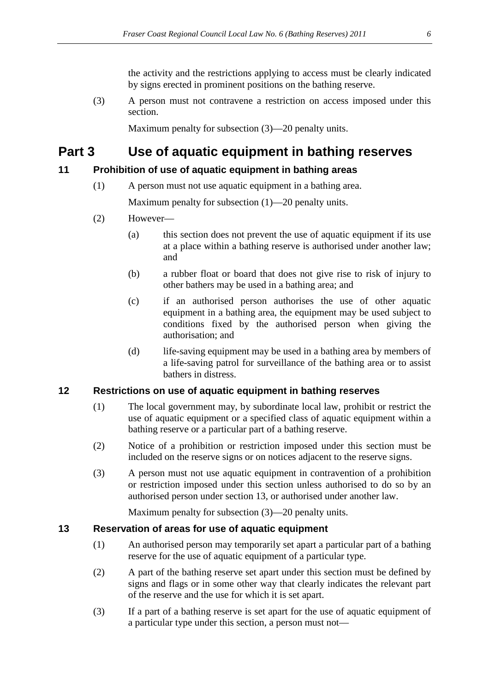the activity and the restrictions applying to access must be clearly indicated by signs erected in prominent positions on the bathing reserve.

(3) A person must not contravene a restriction on access imposed under this section.

Maximum penalty for subsection (3)—20 penalty units.

# **Part 3 Use of aquatic equipment in bathing reserves**

## **11 Prohibition of use of aquatic equipment in bathing areas**

(1) A person must not use aquatic equipment in a bathing area.

Maximum penalty for subsection (1)—20 penalty units.

- (2) However—
	- (a) this section does not prevent the use of aquatic equipment if its use at a place within a bathing reserve is authorised under another law; and
	- (b) a rubber float or board that does not give rise to risk of injury to other bathers may be used in a bathing area; and
	- (c) if an authorised person authorises the use of other aquatic equipment in a bathing area, the equipment may be used subject to conditions fixed by the authorised person when giving the authorisation; and
	- (d) life-saving equipment may be used in a bathing area by members of a life-saving patrol for surveillance of the bathing area or to assist bathers in distress.

### **12 Restrictions on use of aquatic equipment in bathing reserves**

- (1) The local government may, by subordinate local law, prohibit or restrict the use of aquatic equipment or a specified class of aquatic equipment within a bathing reserve or a particular part of a bathing reserve.
- (2) Notice of a prohibition or restriction imposed under this section must be included on the reserve signs or on notices adjacent to the reserve signs.
- (3) A person must not use aquatic equipment in contravention of a prohibition or restriction imposed under this section unless authorised to do so by an authorised person under section 13, or authorised under another law.

Maximum penalty for subsection (3)—20 penalty units.

### **13 Reservation of areas for use of aquatic equipment**

- (1) An authorised person may temporarily set apart a particular part of a bathing reserve for the use of aquatic equipment of a particular type.
- (2) A part of the bathing reserve set apart under this section must be defined by signs and flags or in some other way that clearly indicates the relevant part of the reserve and the use for which it is set apart.
- (3) If a part of a bathing reserve is set apart for the use of aquatic equipment of a particular type under this section, a person must not—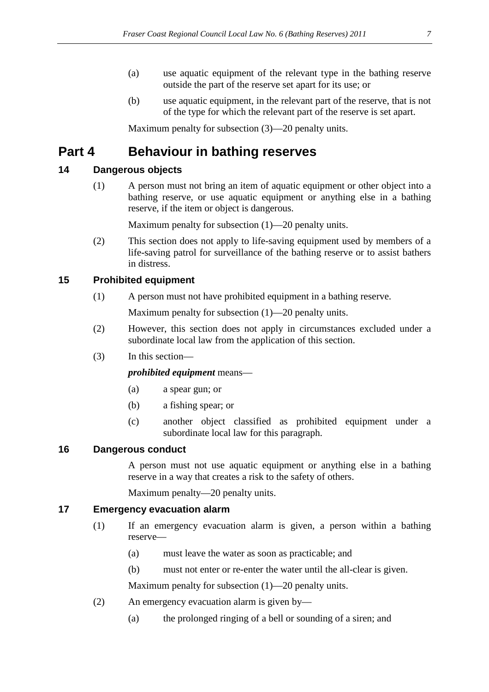- (a) use aquatic equipment of the relevant type in the bathing reserve outside the part of the reserve set apart for its use; or
- (b) use aquatic equipment, in the relevant part of the reserve, that is not of the type for which the relevant part of the reserve is set apart.

Maximum penalty for subsection (3)—20 penalty units.

# **Part 4 Behaviour in bathing reserves**

## **14 Dangerous objects**

(1) A person must not bring an item of aquatic equipment or other object into a bathing reserve, or use aquatic equipment or anything else in a bathing reserve, if the item or object is dangerous.

Maximum penalty for subsection (1)—20 penalty units.

(2) This section does not apply to life-saving equipment used by members of a life-saving patrol for surveillance of the bathing reserve or to assist bathers in distress.

## **15 Prohibited equipment**

(1) A person must not have prohibited equipment in a bathing reserve.

Maximum penalty for subsection  $(1)$ —20 penalty units.

- (2) However, this section does not apply in circumstances excluded under a subordinate local law from the application of this section.
- (3) In this section—

#### *prohibited equipment* means—

- (a) a spear gun; or
- (b) a fishing spear; or
- (c) another object classified as prohibited equipment under a subordinate local law for this paragraph.

### **16 Dangerous conduct**

A person must not use aquatic equipment or anything else in a bathing reserve in a way that creates a risk to the safety of others.

Maximum penalty—20 penalty units.

## **17 Emergency evacuation alarm**

- (1) If an emergency evacuation alarm is given, a person within a bathing reserve—
	- (a) must leave the water as soon as practicable; and
	- (b) must not enter or re-enter the water until the all-clear is given.

Maximum penalty for subsection (1)—20 penalty units.

- (2) An emergency evacuation alarm is given by—
	- (a) the prolonged ringing of a bell or sounding of a siren; and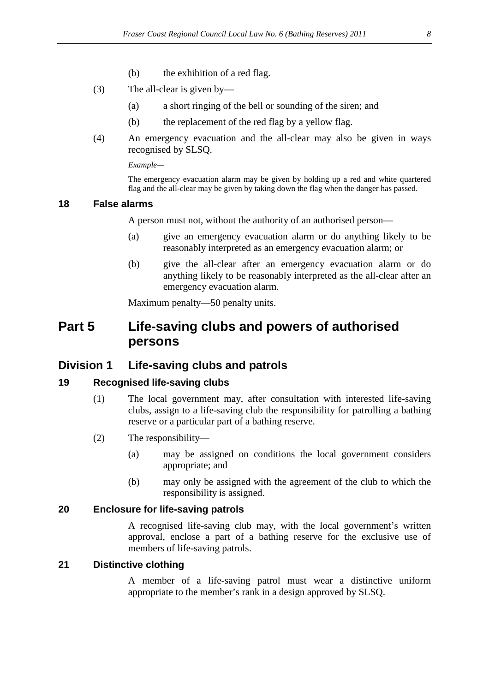- (b) the exhibition of a red flag.
- (3) The all-clear is given by—
	- (a) a short ringing of the bell or sounding of the siren; and
	- (b) the replacement of the red flag by a yellow flag.
- (4) An emergency evacuation and the all-clear may also be given in ways recognised by SLSQ.

*Example—* 

The emergency evacuation alarm may be given by holding up a red and white quartered flag and the all-clear may be given by taking down the flag when the danger has passed.

#### **18 False alarms**

A person must not, without the authority of an authorised person—

- (a) give an emergency evacuation alarm or do anything likely to be reasonably interpreted as an emergency evacuation alarm; or
- (b) give the all-clear after an emergency evacuation alarm or do anything likely to be reasonably interpreted as the all-clear after an emergency evacuation alarm.

Maximum penalty—50 penalty units.

## **Part 5 Life-saving clubs and powers of authorised persons**

### **Division 1 Life-saving clubs and patrols**

#### **19 Recognised life-saving clubs**

- (1) The local government may, after consultation with interested life-saving clubs, assign to a life-saving club the responsibility for patrolling a bathing reserve or a particular part of a bathing reserve.
- (2) The responsibility—
	- (a) may be assigned on conditions the local government considers appropriate; and
	- (b) may only be assigned with the agreement of the club to which the responsibility is assigned.

#### **20 Enclosure for life-saving patrols**

A recognised life-saving club may, with the local government's written approval, enclose a part of a bathing reserve for the exclusive use of members of life-saving patrols.

#### **21 Distinctive clothing**

A member of a life-saving patrol must wear a distinctive uniform appropriate to the member's rank in a design approved by SLSQ.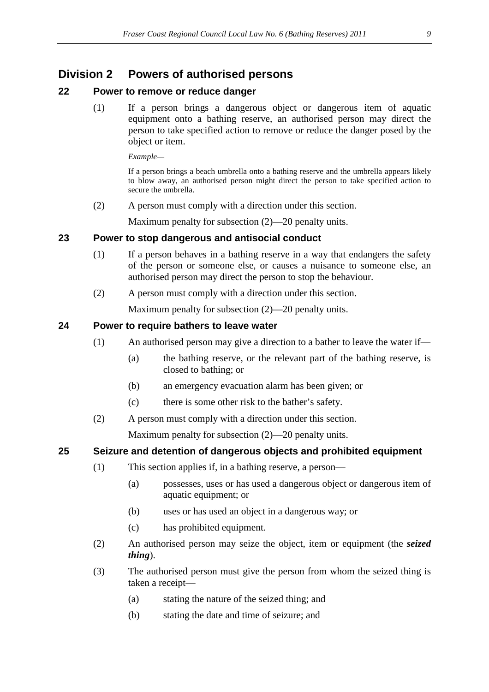## **Division 2 Powers of authorised persons**

#### **22 Power to remove or reduce danger**

(1) If a person brings a dangerous object or dangerous item of aquatic equipment onto a bathing reserve, an authorised person may direct the person to take specified action to remove or reduce the danger posed by the object or item.

*Example—* 

If a person brings a beach umbrella onto a bathing reserve and the umbrella appears likely to blow away, an authorised person might direct the person to take specified action to secure the umbrella.

(2) A person must comply with a direction under this section.

Maximum penalty for subsection (2)—20 penalty units.

#### **23 Power to stop dangerous and antisocial conduct**

- (1) If a person behaves in a bathing reserve in a way that endangers the safety of the person or someone else, or causes a nuisance to someone else, an authorised person may direct the person to stop the behaviour.
- (2) A person must comply with a direction under this section.

Maximum penalty for subsection (2)—20 penalty units.

#### **24 Power to require bathers to leave water**

- (1) An authorised person may give a direction to a bather to leave the water if—
	- (a) the bathing reserve, or the relevant part of the bathing reserve, is closed to bathing; or
	- (b) an emergency evacuation alarm has been given; or
	- (c) there is some other risk to the bather's safety.
- (2) A person must comply with a direction under this section.

Maximum penalty for subsection (2)—20 penalty units.

#### **25 Seizure and detention of dangerous objects and prohibited equipment**

- (1) This section applies if, in a bathing reserve, a person—
	- (a) possesses, uses or has used a dangerous object or dangerous item of aquatic equipment; or
	- (b) uses or has used an object in a dangerous way; or
	- (c) has prohibited equipment.
- (2) An authorised person may seize the object, item or equipment (the *seized thing*).
- (3) The authorised person must give the person from whom the seized thing is taken a receipt—
	- (a) stating the nature of the seized thing; and
	- (b) stating the date and time of seizure; and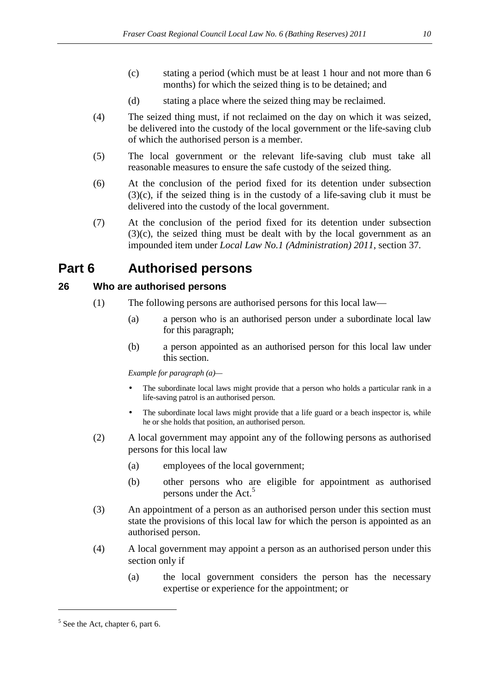- (c) stating a period (which must be at least 1 hour and not more than 6 months) for which the seized thing is to be detained; and
- (d) stating a place where the seized thing may be reclaimed.
- (4) The seized thing must, if not reclaimed on the day on which it was seized, be delivered into the custody of the local government or the life-saving club of which the authorised person is a member.
- (5) The local government or the relevant life-saving club must take all reasonable measures to ensure the safe custody of the seized thing.
- (6) At the conclusion of the period fixed for its detention under subsection (3)(c), if the seized thing is in the custody of a life-saving club it must be delivered into the custody of the local government.
- (7) At the conclusion of the period fixed for its detention under subsection (3)(c), the seized thing must be dealt with by the local government as an impounded item under *Local Law No.1 (Administration) 2011*, section 37*.*

## **Part 6 Authorised persons**

### **26 Who are authorised persons**

- (1) The following persons are authorised persons for this local law—
	- (a) a person who is an authorised person under a subordinate local law for this paragraph;
	- (b) a person appointed as an authorised person for this local law under this section.

*Example for paragraph (a)—* 

- The subordinate local laws might provide that a person who holds a particular rank in a life-saving patrol is an authorised person.
- The subordinate local laws might provide that a life guard or a beach inspector is, while he or she holds that position, an authorised person.
- (2) A local government may appoint any of the following persons as authorised persons for this local law
	- (a) employees of the local government;
	- (b) other persons who are eligible for appointment as authorised persons under the Act.<sup>5</sup>
- (3) An appointment of a person as an authorised person under this section must state the provisions of this local law for which the person is appointed as an authorised person.
- (4) A local government may appoint a person as an authorised person under this section only if
	- (a) the local government considers the person has the necessary expertise or experience for the appointment; or

 $\overline{a}$ 

 $<sup>5</sup>$  See the Act, chapter 6, part 6.</sup>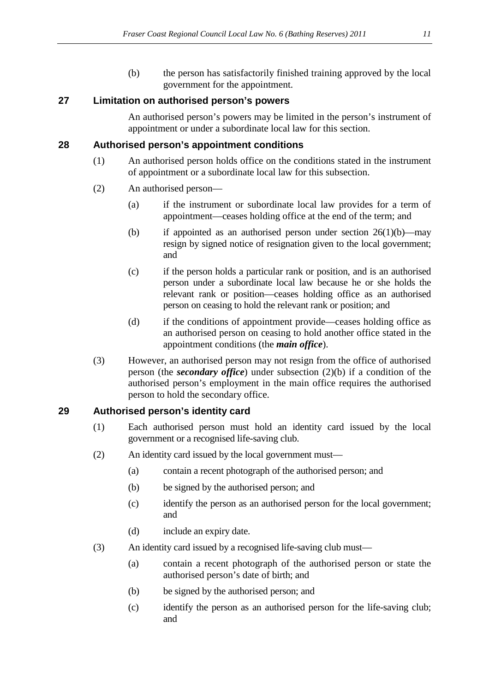(b) the person has satisfactorily finished training approved by the local government for the appointment.

### **27 Limitation on authorised person's powers**

An authorised person's powers may be limited in the person's instrument of appointment or under a subordinate local law for this section.

#### **28 Authorised person's appointment conditions**

- (1) An authorised person holds office on the conditions stated in the instrument of appointment or a subordinate local law for this subsection.
- (2) An authorised person—
	- (a) if the instrument or subordinate local law provides for a term of appointment—ceases holding office at the end of the term; and
	- (b) if appointed as an authorised person under section  $26(1)(b)$ —may resign by signed notice of resignation given to the local government; and
	- (c) if the person holds a particular rank or position, and is an authorised person under a subordinate local law because he or she holds the relevant rank or position—ceases holding office as an authorised person on ceasing to hold the relevant rank or position; and
	- (d) if the conditions of appointment provide—ceases holding office as an authorised person on ceasing to hold another office stated in the appointment conditions (the *main office*).
- (3) However, an authorised person may not resign from the office of authorised person (the *secondary office*) under subsection (2)(b) if a condition of the authorised person's employment in the main office requires the authorised person to hold the secondary office.

### **29 Authorised person's identity card**

- (1) Each authorised person must hold an identity card issued by the local government or a recognised life-saving club.
- (2) An identity card issued by the local government must—
	- (a) contain a recent photograph of the authorised person; and
	- (b) be signed by the authorised person; and
	- (c) identify the person as an authorised person for the local government; and
	- (d) include an expiry date.
- (3) An identity card issued by a recognised life-saving club must—
	- (a) contain a recent photograph of the authorised person or state the authorised person's date of birth; and
	- (b) be signed by the authorised person; and
	- (c) identify the person as an authorised person for the life-saving club; and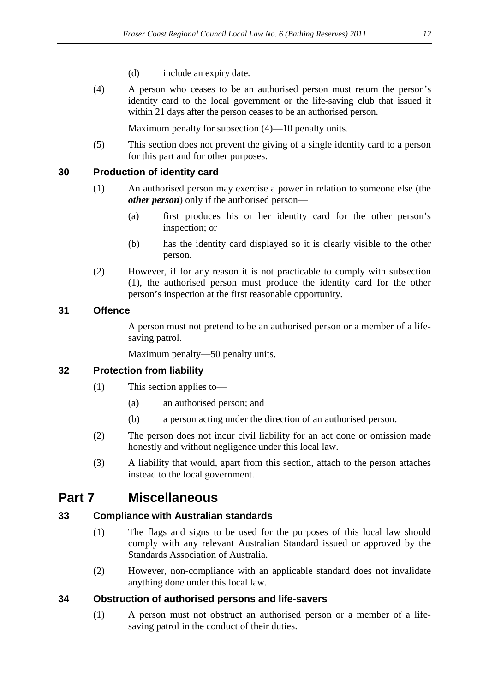- (d) include an expiry date.
- (4) A person who ceases to be an authorised person must return the person's identity card to the local government or the life-saving club that issued it within 21 days after the person ceases to be an authorised person.

Maximum penalty for subsection (4)—10 penalty units.

(5) This section does not prevent the giving of a single identity card to a person for this part and for other purposes.

#### **30 Production of identity card**

- (1) An authorised person may exercise a power in relation to someone else (the *other person*) only if the authorised person—
	- (a) first produces his or her identity card for the other person's inspection; or
	- (b) has the identity card displayed so it is clearly visible to the other person.
- (2) However, if for any reason it is not practicable to comply with subsection (1), the authorised person must produce the identity card for the other person's inspection at the first reasonable opportunity.

#### **31 Offence**

A person must not pretend to be an authorised person or a member of a lifesaving patrol.

Maximum penalty—50 penalty units.

### **32 Protection from liability**

- (1) This section applies to—
	- (a) an authorised person; and
	- (b) a person acting under the direction of an authorised person.
- (2) The person does not incur civil liability for an act done or omission made honestly and without negligence under this local law.
- (3) A liability that would, apart from this section, attach to the person attaches instead to the local government.

## **Part 7 Miscellaneous**

### **33 Compliance with Australian standards**

- (1) The flags and signs to be used for the purposes of this local law should comply with any relevant Australian Standard issued or approved by the Standards Association of Australia.
- (2) However, non-compliance with an applicable standard does not invalidate anything done under this local law.

### **34 Obstruction of authorised persons and life-savers**

(1) A person must not obstruct an authorised person or a member of a lifesaving patrol in the conduct of their duties.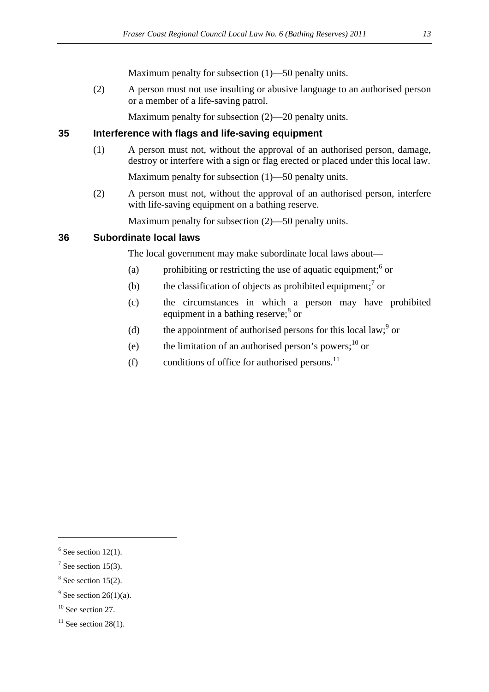Maximum penalty for subsection (1)—50 penalty units.

(2) A person must not use insulting or abusive language to an authorised person or a member of a life-saving patrol.

Maximum penalty for subsection (2)—20 penalty units.

## **35 Interference with flags and life-saving equipment**

(1) A person must not, without the approval of an authorised person, damage, destroy or interfere with a sign or flag erected or placed under this local law.

Maximum penalty for subsection (1)—50 penalty units.

(2) A person must not, without the approval of an authorised person, interfere with life-saving equipment on a bathing reserve.

Maximum penalty for subsection (2)—50 penalty units.

#### **36 Subordinate local laws**

The local government may make subordinate local laws about—

- (a) prohibiting or restricting the use of aquatic equipment; $6$  or
- (b) the classification of objects as prohibited equipment;<sup>7</sup> or
- (c) the circumstances in which a person may have prohibited equipment in a bathing reserve;<sup>8</sup> or
- (d) the appointment of authorised persons for this local law;  $9^{\circ}$  or
- (e) the limitation of an authorised person's powers; $^{10}$  or
- (f) conditions of office for authorised persons.<sup>11</sup>

 $\overline{a}$ 

 $8$  See section 15(2).

 $6$  See section 12(1).

 $7$  See section 15(3).

 $9^9$  See section 26(1)(a).

 $10$  See section 27.

 $11$  See section 28(1).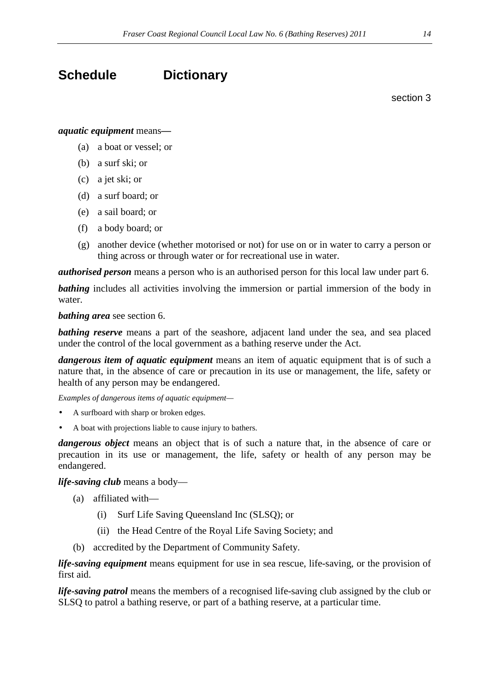# **Schedule Dictionary**

section 3

#### *aquatic equipment* means*—*

- (a) a boat or vessel; or
- (b) a surf ski; or
- (c) a jet ski; or
- (d) a surf board; or
- (e) a sail board; or
- (f) a body board; or
- (g) another device (whether motorised or not) for use on or in water to carry a person or thing across or through water or for recreational use in water.

*authorised person* means a person who is an authorised person for this local law under part 6.

**bathing** includes all activities involving the immersion or partial immersion of the body in water.

*bathing area* see section 6.

**bathing reserve** means a part of the seashore, adjacent land under the sea, and sea placed under the control of the local government as a bathing reserve under the Act.

*dangerous item of aquatic equipment* means an item of aquatic equipment that is of such a nature that, in the absence of care or precaution in its use or management, the life, safety or health of any person may be endangered.

*Examples of dangerous items of aquatic equipment—* 

- A surfboard with sharp or broken edges.
- A boat with projections liable to cause injury to bathers.

*dangerous object* means an object that is of such a nature that, in the absence of care or precaution in its use or management, the life, safety or health of any person may be endangered.

#### *life-saving club* means a body—

- (a) affiliated with—
	- (i) Surf Life Saving Queensland Inc (SLSQ); or
	- (ii) the Head Centre of the Royal Life Saving Society; and
- (b) accredited by the Department of Community Safety.

*life-saving equipment* means equipment for use in sea rescue, life-saving, or the provision of first aid.

*life-saving patrol* means the members of a recognised life-saving club assigned by the club or SLSQ to patrol a bathing reserve, or part of a bathing reserve, at a particular time.